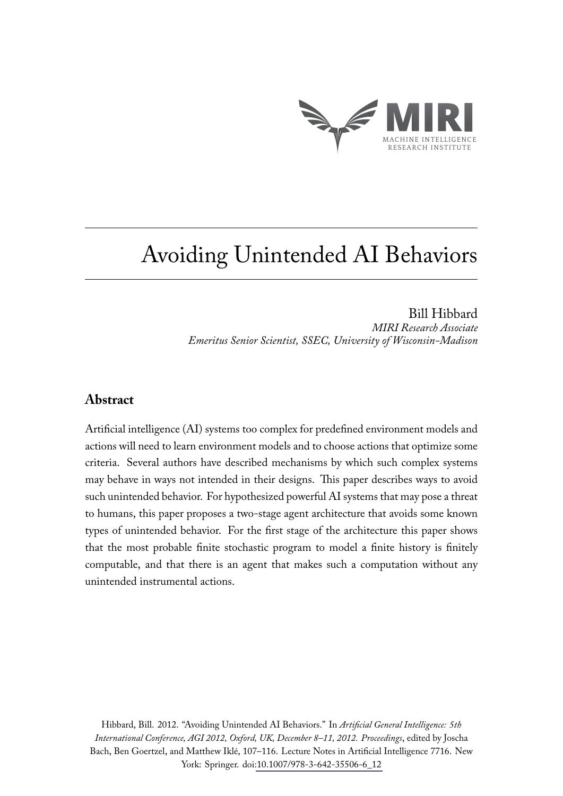

# Avoiding Unintended AI Behaviors

## Bill Hibbard *MIRI Research Associate Emeritus Senior Scientist, SSEC, University of Wisconsin-Madison*

# **Abstract**

Artificial intelligence (AI) systems too complex for predefined environment models and actions will need to learn environment models and to choose actions that optimize some criteria. Several authors have described mechanisms by which such complex systems may behave in ways not intended in their designs. This paper describes ways to avoid such unintended behavior. For hypothesized powerful AI systems that may pose a threat to humans, this paper proposes a two-stage agent architecture that avoids some known types of unintended behavior. For the first stage of the architecture this paper shows that the most probable finite stochastic program to model a finite history is finitely computable, and that there is an agent that makes such a computation without any unintended instrumental actions.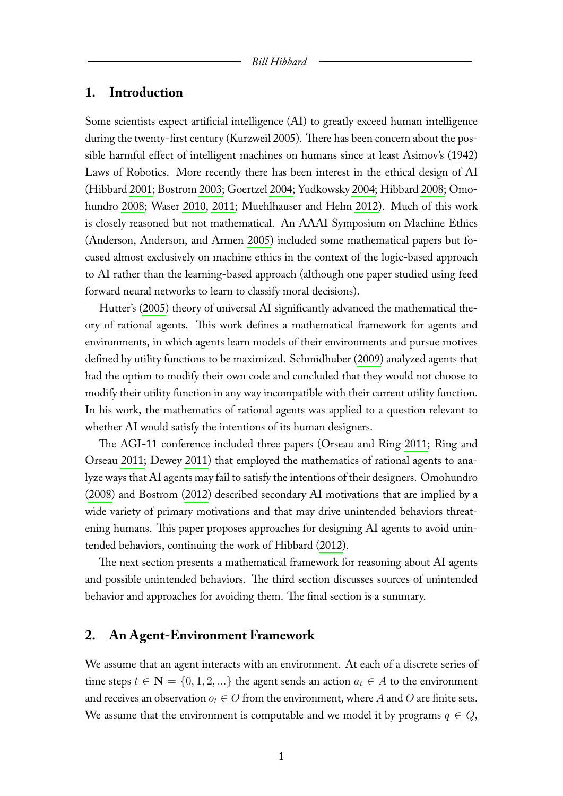### **1. Introduction**

Some scientists expect artificial intelligence (AI) to greatly exceed human intelligence during the twenty-first century (Kurzweil [2005\)](#page-11-0). There has been concern about the possible harmful effect of intelligent machines on humans since at least Asimov's [\(1942\)](#page-11-1) Laws of Robotics. More recently there has been interest in the ethical design of AI (Hibbard [2001;](#page-11-2) Bostrom [2003;](#page-11-3) Goertzel [2004;](#page-11-4) Yudkowsky [2004;](#page-12-0) Hibbard [2008;](#page-11-5) Omohundro [2008;](#page-12-1) Waser [2010,](#page-12-2) [2011;](#page-12-3) Muehlhauser and Helm [2012\)](#page-12-4). Much of this work is closely reasoned but not mathematical. An AAAI Symposium on Machine Ethics (Anderson, Anderson, and Armen [2005\)](#page-11-6) included some mathematical papers but focused almost exclusively on machine ethics in the context of the logic-based approach to AI rather than the learning-based approach (although one paper studied using feed forward neural networks to learn to classify moral decisions).

Hutter's [\(2005\)](#page-11-7) theory of universal AI significantly advanced the mathematical theory of rational agents. This work defines a mathematical framework for agents and environments, in which agents learn models of their environments and pursue motives defined by utility functions to be maximized. Schmidhuber [\(2009\)](#page-12-5) analyzed agents that had the option to modify their own code and concluded that they would not choose to modify their utility function in any way incompatible with their current utility function. In his work, the mathematics of rational agents was applied to a question relevant to whether AI would satisfy the intentions of its human designers.

The AGI-11 conference included three papers (Orseau and Ring [2011;](#page-12-6) Ring and Orseau [2011;](#page-12-7) Dewey [2011\)](#page-11-8) that employed the mathematics of rational agents to analyze ways that AI agents may fail to satisfy the intentions of their designers. Omohundro [\(2008\)](#page-12-1) and Bostrom [\(2012\)](#page-11-9) described secondary AI motivations that are implied by a wide variety of primary motivations and that may drive unintended behaviors threatening humans. This paper proposes approaches for designing AI agents to avoid unintended behaviors, continuing the work of Hibbard [\(2012\)](#page-11-10).

The next section presents a mathematical framework for reasoning about AI agents and possible unintended behaviors. The third section discusses sources of unintended behavior and approaches for avoiding them. The final section is a summary.

## **2. An Agent-Environment Framework**

We assume that an agent interacts with an environment. At each of a discrete series of time steps  $t \in \mathbb{N} = \{0, 1, 2, ...\}$  the agent sends an action  $a_t \in A$  to the environment and receives an observation  $o_t \in O$  from the environment, where A and O are finite sets. We assume that the environment is computable and we model it by programs  $q \in Q$ ,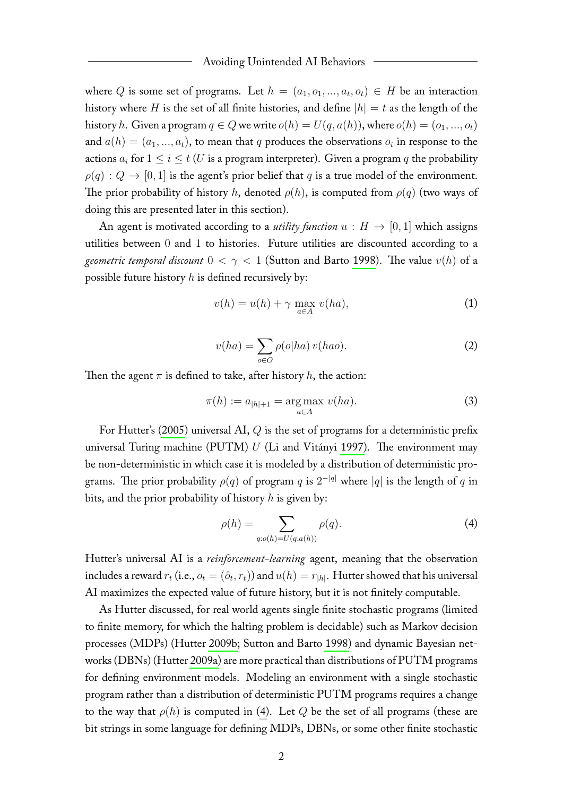where Q is some set of programs. Let  $h = (a_1, o_1, ..., a_t, o_t) \in H$  be an interaction history where H is the set of all finite histories, and define  $|h| = t$  as the length of the history h. Given a program  $q \in Q$  we write  $o(h) = U(q, a(h))$ , where  $o(h) = (o_1, ..., o_t)$ and  $a(h) = (a_1, ..., a_t)$ , to mean that q produces the observations  $o_i$  in response to the actions  $a_i$  for  $1 \le i \le t$  (U is a program interpreter). Given a program q the probability  $\rho(q)$ :  $Q \rightarrow [0, 1]$  is the agent's prior belief that q is a true model of the environment. The prior probability of history h, denoted  $\rho(h)$ , is computed from  $\rho(q)$  (two ways of doing this are presented later in this section).

An agent is motivated according to a *utility function*  $u : H \to [0,1]$  which assigns utilities between 0 and 1 to histories. Future utilities are discounted according to a *geometric temporal discount*  $0 < \gamma < 1$  (Sutton and Barto [1998\)](#page-12-8). The value  $v(h)$  of a possible future history  $h$  is defined recursively by:

<span id="page-2-1"></span>
$$
v(h) = u(h) + \gamma \max_{a \in A} v(ha), \tag{1}
$$

<span id="page-2-2"></span>
$$
v(ha) = \sum_{o \in O} \rho(o|ha) v(hao).
$$
 (2)

Then the agent  $\pi$  is defined to take, after history h, the action:

$$
\pi(h) := a_{|h|+1} = \underset{a \in A}{\arg \max} \ v(ha). \tag{3}
$$

For Hutter's [\(2005\)](#page-11-7) universal AI, Q is the set of programs for a deterministic prefix universal Turing machine (PUTM)  $U$  (Li and Vitányi [1997\)](#page-11-11). The environment may be non-deterministic in which case it is modeled by a distribution of deterministic programs. The prior probability  $\rho(q)$  of program  $q$  is  $2^{-|q|}$  where  $|q|$  is the length of  $q$  in bits, and the prior probability of history  $h$  is given by:

<span id="page-2-0"></span>
$$
\rho(h) = \sum_{q: o(h) = U(q, a(h))} \rho(q). \tag{4}
$$

Hutter's universal AI is a *reinforcement-learning* agent, meaning that the observation includes a reward  $r_t$  (i.e.,  $o_t = (\hat{o}_t, r_t))$  and  $u(h) = r_{|h|}.$  Hutter showed that his universal AI maximizes the expected value of future history, but it is not finitely computable.

As Hutter discussed, for real world agents single finite stochastic programs (limited to finite memory, for which the halting problem is decidable) such as Markov decision processes (MDPs) (Hutter [2009b;](#page-11-12) Sutton and Barto [1998\)](#page-12-8) and dynamic Bayesian networks (DBNs) (Hutter [2009a\)](#page-11-13) are more practical than distributions of PUTM programs for defining environment models. Modeling an environment with a single stochastic program rather than a distribution of deterministic PUTM programs requires a change to the way that  $\rho(h)$  is computed in [\(4\)](#page-2-0). Let Q be the set of all programs (these are bit strings in some language for defining MDPs, DBNs, or some other finite stochastic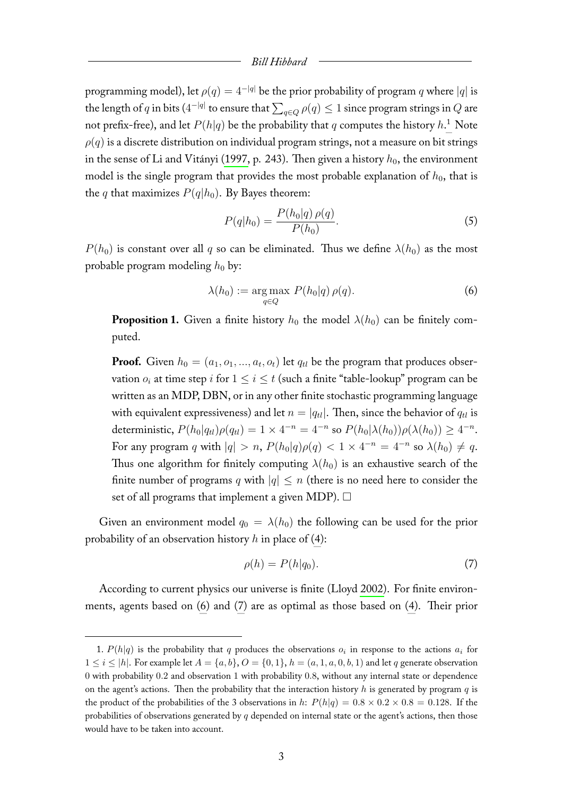#### *Bill Hibbard*

programming model), let  $\rho(q) = 4^{-|q|}$  be the prior probability of program q where |q| is the length of  $q$  in bits (4 $^{-|q|}$  to ensure that  $\sum_{q\in Q}\rho(q)\leq 1$  since program strings in  $Q$  are not prefix-free), and let  $P(h|q)$  be the probability that  $q$  computes the history  $h.^\mathbf{1}$  $h.^\mathbf{1}$  $h.^\mathbf{1}$  Note  $\rho(q)$  is a discrete distribution on individual program strings, not a measure on bit strings in the sense of Li and Vitányi [\(1997,](#page-11-11) p. 243). Then given a history  $h_0$ , the environment model is the single program that provides the most probable explanation of  $h_0$ , that is the q that maximizes  $P(q|h_0)$ . By Bayes theorem:

<span id="page-3-1"></span>
$$
P(q|h_0) = \frac{P(h_0|q)\,\rho(q)}{P(h_0)}.\tag{5}
$$

 $P(h_0)$  is constant over all q so can be eliminated. Thus we define  $\lambda(h_0)$  as the most probable program modeling  $h_0$  by:

$$
\lambda(h_0) := \underset{q \in Q}{\text{arg max}} \ P(h_0|q) \ \rho(q). \tag{6}
$$

**Proposition 1.** Given a finite history  $h_0$  the model  $\lambda(h_0)$  can be finitely computed.

**Proof.** Given  $h_0 = (a_1, o_1, ..., a_t, o_t)$  let  $q_{tt}$  be the program that produces observation  $o_i$  at time step i for  $1 \le i \le t$  (such a finite "table-lookup" program can be written as an MDP, DBN, or in any other finite stochastic programming language with equivalent expressiveness) and let  $n = |q_{tl}|$ . Then, since the behavior of  $q_{tl}$  is deterministic,  $P(h_0|q_{tt})\rho(q_{tt}) = 1 \times 4^{-n} = 4^{-n}$  so  $P(h_0|\lambda(h_0))\rho(\lambda(h_0)) \ge 4^{-n}$ . For any program q with  $|q| > n$ ,  $P(h_0|q)\rho(q) < 1 \times 4^{-n} = 4^{-n}$  so  $\lambda(h_0) \neq q$ . Thus one algorithm for finitely computing  $\lambda(h_0)$  is an exhaustive search of the finite number of programs q with  $|q| \le n$  (there is no need here to consider the set of all programs that implement a given MDP).  $\square$ 

Given an environment model  $q_0 = \lambda(h_0)$  the following can be used for the prior probability of an observation history h in place of  $(4)$ :

<span id="page-3-2"></span>
$$
\rho(h) = P(h|q_0). \tag{7}
$$

According to current physics our universe is finite (Lloyd [2002\)](#page-11-14). For finite environments, agents based on [\(6\)](#page-3-1) and [\(7\)](#page-3-2) are as optimal as those based on [\(4\)](#page-2-0). Their prior

<span id="page-3-0"></span><sup>1.</sup>  $P(h|q)$  is the probability that q produces the observations  $o_i$  in response to the actions  $a_i$  for  $1 \leq i \leq |h|$ . For example let  $A = \{a, b\}$ ,  $O = \{0, 1\}$ ,  $h = (a, 1, a, 0, b, 1)$  and let q generate observation 0 with probability 0.2 and observation 1 with probability 0.8, without any internal state or dependence on the agent's actions. Then the probability that the interaction history  $h$  is generated by program  $q$  is the product of the probabilities of the 3 observations in h:  $P(h|q) = 0.8 \times 0.2 \times 0.8 = 0.128$ . If the probabilities of observations generated by  $q$  depended on internal state or the agent's actions, then those would have to be taken into account.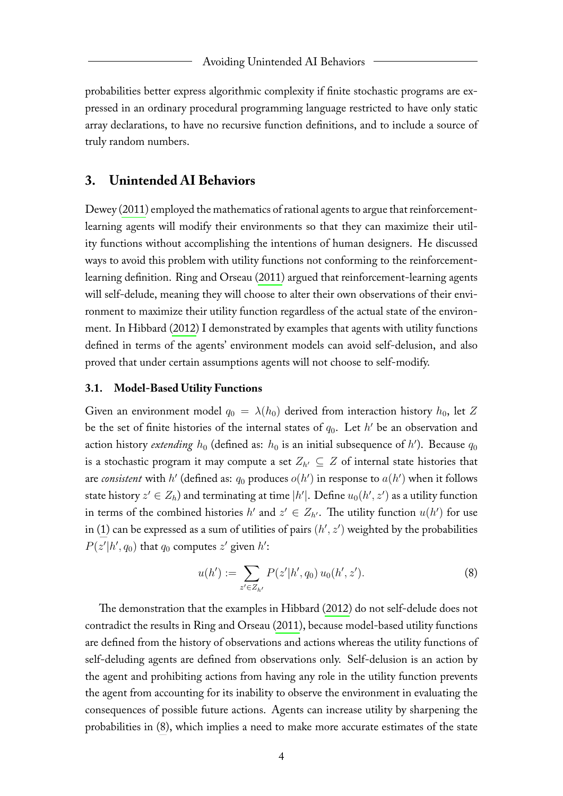probabilities better express algorithmic complexity if finite stochastic programs are expressed in an ordinary procedural programming language restricted to have only static array declarations, to have no recursive function definitions, and to include a source of truly random numbers.

## **3. Unintended AI Behaviors**

Dewey [\(2011\)](#page-11-8) employed the mathematics of rational agents to argue that reinforcementlearning agents will modify their environments so that they can maximize their utility functions without accomplishing the intentions of human designers. He discussed ways to avoid this problem with utility functions not conforming to the reinforcementlearning definition. Ring and Orseau [\(2011\)](#page-12-7) argued that reinforcement-learning agents will self-delude, meaning they will choose to alter their own observations of their environment to maximize their utility function regardless of the actual state of the environment. In Hibbard [\(2012\)](#page-11-10) I demonstrated by examples that agents with utility functions defined in terms of the agents' environment models can avoid self-delusion, and also proved that under certain assumptions agents will not choose to self-modify.

#### <span id="page-4-1"></span>**3.1. Model-Based Utility Functions**

Given an environment model  $q_0 = \lambda(h_0)$  derived from interaction history  $h_0$ , let Z be the set of finite histories of the internal states of  $q_0$ . Let  $h'$  be an observation and action history *extending*  $h_0$  (defined as:  $h_0$  is an initial subsequence of  $h'$ ). Because  $q_0$ is a stochastic program it may compute a set  $Z_{h'} \subseteq Z$  of internal state histories that are *consistent* with  $h'$  (defined as:  $q_0$  produces  $o(h')$  in response to  $a(h')$  when it follows state history  $z' \in Z_h$ ) and terminating at time  $|h'|$ . Define  $u_0(h',z')$  as a utility function in terms of the combined histories  $h'$  and  $z' \in Z_{h'}$ . The utility function  $u(h')$  for use in [\(1\)](#page-2-1) can be expressed as a sum of utilities of pairs  $(h', z')$  weighted by the probabilities  $P(z'|h', q_0)$  that  $q_0$  computes  $z'$  given  $h'$ :

<span id="page-4-0"></span>
$$
u(h') := \sum_{z' \in Z_{h'}} P(z'|h', q_0) u_0(h', z'). \tag{8}
$$

The demonstration that the examples in Hibbard [\(2012\)](#page-11-10) do not self-delude does not contradict the results in Ring and Orseau [\(2011\)](#page-12-7), because model-based utility functions are defined from the history of observations and actions whereas the utility functions of self-deluding agents are defined from observations only. Self-delusion is an action by the agent and prohibiting actions from having any role in the utility function prevents the agent from accounting for its inability to observe the environment in evaluating the consequences of possible future actions. Agents can increase utility by sharpening the probabilities in [\(8\)](#page-4-0), which implies a need to make more accurate estimates of the state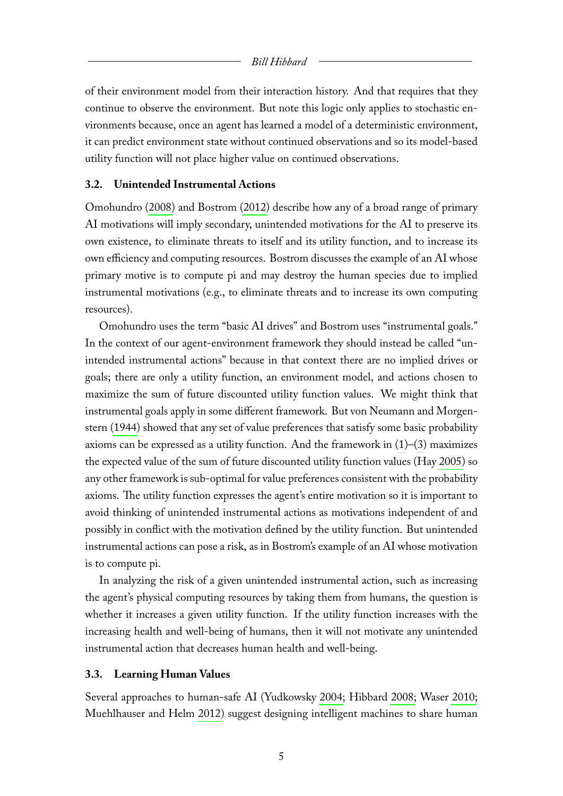#### *Bill Hibbard*

of their environment model from their interaction history. And that requires that they continue to observe the environment. But note this logic only applies to stochastic environments because, once an agent has learned a model of a deterministic environment, it can predict environment state without continued observations and so its model-based utility function will not place higher value on continued observations.

#### **3.2. Unintended Instrumental Actions**

Omohundro [\(2008\)](#page-12-1) and Bostrom [\(2012\)](#page-11-9) describe how any of a broad range of primary AI motivations will imply secondary, unintended motivations for the AI to preserve its own existence, to eliminate threats to itself and its utility function, and to increase its own efficiency and computing resources. Bostrom discusses the example of an AI whose primary motive is to compute pi and may destroy the human species due to implied instrumental motivations (e.g., to eliminate threats and to increase its own computing resources).

Omohundro uses the term "basic AI drives" and Bostrom uses "instrumental goals." In the context of our agent-environment framework they should instead be called "unintended instrumental actions" because in that context there are no implied drives or goals; there are only a utility function, an environment model, and actions chosen to maximize the sum of future discounted utility function values. We might think that instrumental goals apply in some different framework. But von Neumann and Morgenstern [\(1944\)](#page-12-9) showed that any set of value preferences that satisfy some basic probability axioms can be expressed as a utility function. And the framework in  $(1)$ – $(3)$  maximizes the expected value of the sum of future discounted utility function values (Hay [2005\)](#page-11-15) so any other framework is sub-optimal for value preferences consistent with the probability axioms. The utility function expresses the agent's entire motivation so it is important to avoid thinking of unintended instrumental actions as motivations independent of and possibly in conflict with the motivation defined by the utility function. But unintended instrumental actions can pose a risk, as in Bostrom's example of an AI whose motivation is to compute pi.

In analyzing the risk of a given unintended instrumental action, such as increasing the agent's physical computing resources by taking them from humans, the question is whether it increases a given utility function. If the utility function increases with the increasing health and well-being of humans, then it will not motivate any unintended instrumental action that decreases human health and well-being.

#### **3.3. Learning Human Values**

Several approaches to human-safe AI (Yudkowsky [2004;](#page-12-0) Hibbard [2008;](#page-11-5) Waser [2010;](#page-12-2) Muehlhauser and Helm [2012\)](#page-12-4) suggest designing intelligent machines to share human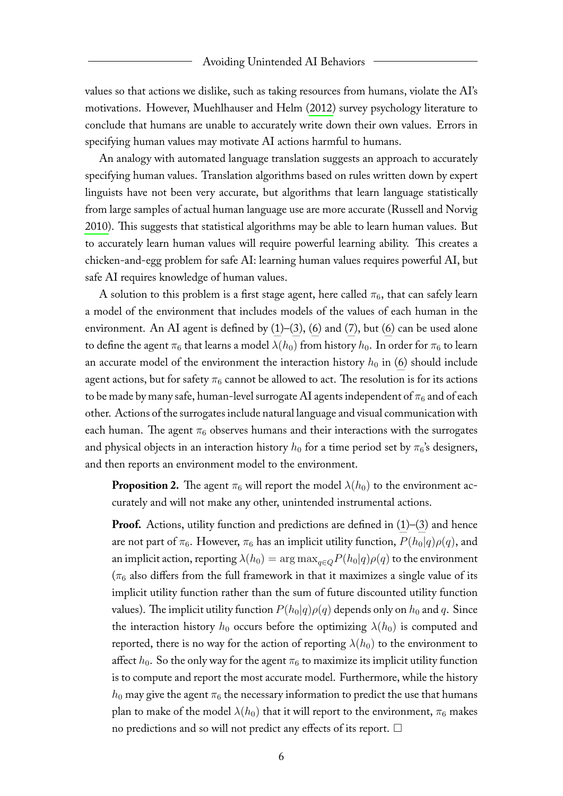values so that actions we dislike, such as taking resources from humans, violate the AI's motivations. However, Muehlhauser and Helm [\(2012\)](#page-12-4) survey psychology literature to conclude that humans are unable to accurately write down their own values. Errors in specifying human values may motivate AI actions harmful to humans.

An analogy with automated language translation suggests an approach to accurately specifying human values. Translation algorithms based on rules written down by expert linguists have not been very accurate, but algorithms that learn language statistically from large samples of actual human language use are more accurate (Russell and Norvig [2010\)](#page-12-10). This suggests that statistical algorithms may be able to learn human values. But to accurately learn human values will require powerful learning ability. This creates a chicken-and-egg problem for safe AI: learning human values requires powerful AI, but safe AI requires knowledge of human values.

A solution to this problem is a first stage agent, here called  $\pi_6$ , that can safely learn a model of the environment that includes models of the values of each human in the environment. An AI agent is defined by  $(1)$ – $(3)$ ,  $(6)$  and  $(7)$ , but  $(6)$  can be used alone to define the agent  $\pi_6$  that learns a model  $\lambda(h_0)$  from history  $h_0$ . In order for  $\pi_6$  to learn an accurate model of the environment the interaction history  $h_0$  in [\(6\)](#page-3-1) should include agent actions, but for safety  $\pi_6$  cannot be allowed to act. The resolution is for its actions to be made by many safe, human-level surrogate AI agents independent of  $\pi_6$  and of each other. Actions of the surrogates include natural language and visual communication with each human. The agent  $\pi_6$  observes humans and their interactions with the surrogates and physical objects in an interaction history  $h_0$  for a time period set by  $\pi_6$ 's designers, and then reports an environment model to the environment.

**Proposition 2.** The agent  $\pi_6$  will report the model  $\lambda(h_0)$  to the environment accurately and will not make any other, unintended instrumental actions.

**Proof.** Actions, utility function and predictions are defined in  $(1)$ – $(3)$  and hence are not part of  $\pi_6$ . However,  $\pi_6$  has an implicit utility function,  $P(h_0|q)\rho(q)$ , and an implicit action, reporting  $\lambda(h_0) = \arg \max_{q \in Q} P(h_0|q) \rho(q)$  to the environment ( $\pi_6$  also differs from the full framework in that it maximizes a single value of its implicit utility function rather than the sum of future discounted utility function values). The implicit utility function  $P(h_0|q)\rho(q)$  depends only on  $h_0$  and  $q$ . Since the interaction history  $h_0$  occurs before the optimizing  $\lambda(h_0)$  is computed and reported, there is no way for the action of reporting  $\lambda(h_0)$  to the environment to affect  $h_0$ . So the only way for the agent  $\pi_6$  to maximize its implicit utility function is to compute and report the most accurate model. Furthermore, while the history  $h_0$  may give the agent  $\pi_6$  the necessary information to predict the use that humans plan to make of the model  $\lambda(h_0)$  that it will report to the environment,  $\pi_6$  makes no predictions and so will not predict any effects of its report.  $\Box$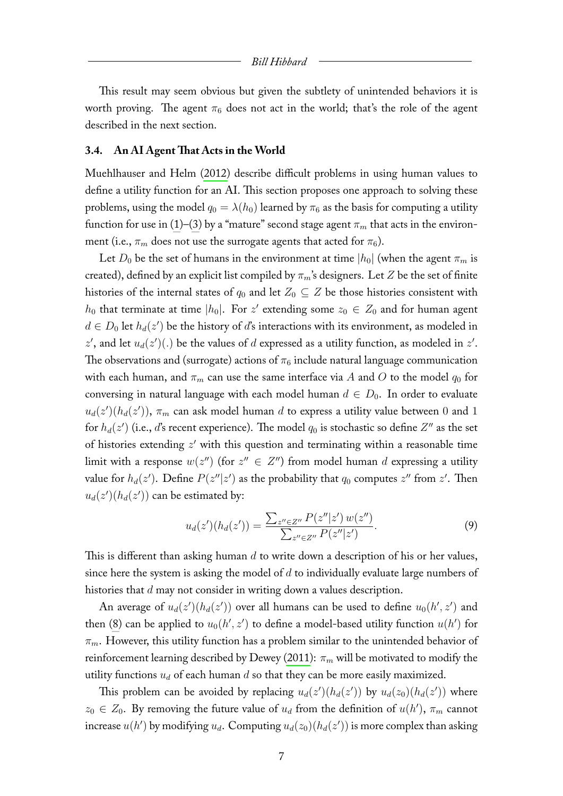This result may seem obvious but given the subtlety of unintended behaviors it is worth proving. The agent  $\pi_6$  does not act in the world; that's the role of the agent described in the next section.

#### **3.4. An AI Agent That Acts in the World**

Muehlhauser and Helm [\(2012\)](#page-12-4) describe difficult problems in using human values to define a utility function for an AI. This section proposes one approach to solving these problems, using the model  $q_0 = \lambda(h_0)$  learned by  $\pi_6$  as the basis for computing a utility function for use in [\(1\)](#page-2-1)–[\(3\)](#page-2-2) by a "mature" second stage agent  $\pi_m$  that acts in the environment (i.e.,  $\pi_m$  does not use the surrogate agents that acted for  $\pi_6$ ).

Let  $D_0$  be the set of humans in the environment at time  $|h_0|$  (when the agent  $\pi_m$  is created), defined by an explicit list compiled by  $\pi_m$ 's designers. Let Z be the set of finite histories of the internal states of  $q_0$  and let  $Z_0 \subseteq Z$  be those histories consistent with  $h_0$  that terminate at time  $|h_0|$ . For z' extending some  $z_0 \in Z_0$  and for human agent  $d \in D_0$  let  $h_d(z')$  be the history of d's interactions with its environment, as modeled in z', and let  $u_d(z')(.)$  be the values of d expressed as a utility function, as modeled in z'. The observations and (surrogate) actions of  $\pi_6$  include natural language communication with each human, and  $\pi_m$  can use the same interface via A and O to the model  $q_0$  for conversing in natural language with each model human  $d \in D_0$ . In order to evaluate  $u_d(z') (h_d(z'))$ ,  $\pi_m$  can ask model human d to express a utility value between 0 and 1 for  $h_d(z')$  (i.e.,  $d$ 's recent experience). The model  $q_0$  is stochastic so define  $Z''$  as the set of histories extending  $z'$  with this question and terminating within a reasonable time limit with a response  $w(z'')$  (for  $z'' \in Z''$ ) from model human d expressing a utility value for  $h_d(z')$ . Define  $P(z''|z')$  as the probability that  $q_0$  computes  $z''$  from  $z'$ . Then  $u_d(z')(h_d(z'))$  can be estimated by:

<span id="page-7-0"></span>
$$
u_d(z')(h_d(z')) = \frac{\sum_{z'' \in Z''} P(z''|z') w(z'')}{\sum_{z'' \in Z''} P(z''|z')}.
$$
\n(9)

This is different than asking human d to write down a description of his or her values, since here the system is asking the model of  $d$  to individually evaluate large numbers of histories that d may not consider in writing down a values description.

An average of  $u_d(z')(h_d(z'))$  over all humans can be used to define  $u_0(h',z')$  and then [\(8\)](#page-4-0) can be applied to  $u_0(h', z')$  to define a model-based utility function  $u(h')$  for  $\pi_m$ . However, this utility function has a problem similar to the unintended behavior of reinforcement learning described by Dewey [\(2011\)](#page-11-8):  $\pi_m$  will be motivated to modify the utility functions  $u_d$  of each human  $d$  so that they can be more easily maximized.

This problem can be avoided by replacing  $u_d(z')(h_d(z'))$  by  $u_d(z_0)(h_d(z'))$  where  $z_0 \in Z_0$ . By removing the future value of  $u_d$  from the definition of  $u(h')$ ,  $\pi_m$  cannot increase  $u(h')$  by modifying  $u_d$ . Computing  $u_d(z_0)(h_d(z'))$  is more complex than asking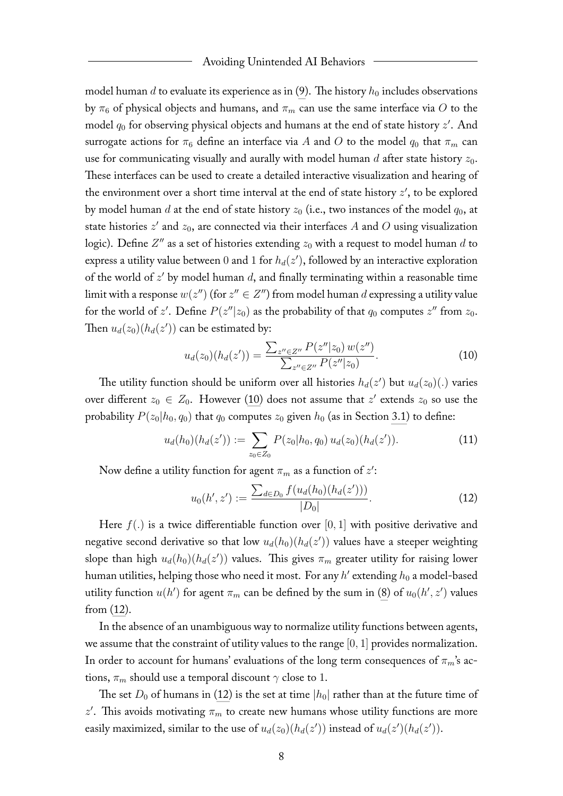model human d to evaluate its experience as in [\(9\)](#page-7-0). The history  $h_0$  includes observations by  $\pi_6$  of physical objects and humans, and  $\pi_m$  can use the same interface via O to the model  $q_0$  for observing physical objects and humans at the end of state history  $z'$ . And surrogate actions for  $\pi_6$  define an interface via A and O to the model  $q_0$  that  $\pi_m$  can use for communicating visually and aurally with model human  $d$  after state history  $z_0$ . These interfaces can be used to create a detailed interactive visualization and hearing of the environment over a short time interval at the end of state history  $z'$ , to be explored by model human d at the end of state history  $z_0$  (i.e., two instances of the model  $q_0$ , at state histories  $z'$  and  $z_0$ , are connected via their interfaces  $A$  and  $O$  using visualization logic). Define  $Z^{\prime\prime}$  as a set of histories extending  $z_0$  with a request to model human  $d$  to express a utility value between 0 and 1 for  $h_d(z')$ , followed by an interactive exploration of the world of  $z'$  by model human  $d$ , and finally terminating within a reasonable time limit with a response  $w(z'')$  (for  $z'' \in Z''$ ) from model human  $d$  expressing a utility value for the world of z'. Define  $P(z''|z_0)$  as the probability of that  $q_0$  computes  $z''$  from  $z_0$ . Then  $u_d(z_0)(h_d(z'))$  can be estimated by:

<span id="page-8-2"></span><span id="page-8-0"></span>
$$
u_d(z_0)(h_d(z')) = \frac{\sum_{z'' \in Z''} P(z''|z_0) w(z'')}{\sum_{z'' \in Z''} P(z''|z_0)}.
$$
 (10)

The utility function should be uniform over all histories  $h_d(z')$  but  $u_d(z_0)(.)$  varies over different  $z_0 \in Z_0$ . However [\(10\)](#page-8-0) does not assume that  $z'$  extends  $z_0$  so use the probability  $P(z_0|h_0, q_0)$  that  $q_0$  computes  $z_0$  given  $h_0$  (as in Section [3.1\)](#page-4-1) to define:

$$
u_d(h_0)(h_d(z')) := \sum_{z_0 \in Z_0} P(z_0|h_0, q_0) u_d(z_0)(h_d(z')). \tag{11}
$$

Now define a utility function for agent  $\pi_m$  as a function of  $z'$ :

<span id="page-8-1"></span>
$$
u_0(h', z') := \frac{\sum_{d \in D_0} f(u_d(h_0)(h_d(z')))}{|D_0|}.
$$
 (12)

Here  $f(.)$  is a twice differentiable function over [0, 1] with positive derivative and negative second derivative so that low  $u_d(h_0)(h_d(z'))$  values have a steeper weighting slope than high  $u_d(h_0)(h_d(z'))$  values. This gives  $\pi_m$  greater utility for raising lower human utilities, helping those who need it most. For any  $h^\prime$  extending  $h_0$  a model-based utility function  $u(h')$  for agent  $\pi_m$  can be defined by the sum in [\(8\)](#page-4-0) of  $u_0(h',z')$  values from [\(12\)](#page-8-1).

In the absence of an unambiguous way to normalize utility functions between agents, we assume that the constraint of utility values to the range  $[0, 1]$  provides normalization. In order to account for humans' evaluations of the long term consequences of  $\pi_m$ 's actions,  $\pi_m$  should use a temporal discount  $\gamma$  close to 1.

The set  $D_0$  of humans in [\(12\)](#page-8-1) is the set at time  $|h_0|$  rather than at the future time of  $z'$ . This avoids motivating  $\pi_m$  to create new humans whose utility functions are more easily maximized, similar to the use of  $u_d(z_0)(h_d(z'))$  instead of  $u_d(z')(h_d(z'))$ .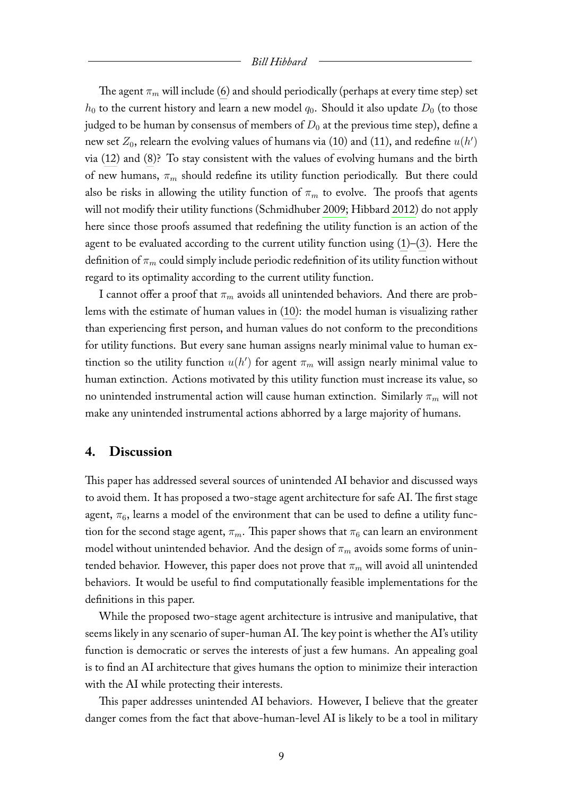#### *Bill Hibbard*

The agent  $\pi_m$  will include [\(6\)](#page-3-1) and should periodically (perhaps at every time step) set  $h_0$  to the current history and learn a new model  $q_0$ . Should it also update  $D_0$  (to those judged to be human by consensus of members of  $D_0$  at the previous time step), define a new set  $Z_0$ , relearn the evolving values of humans via [\(10\)](#page-8-0) and [\(11\)](#page-8-2), and redefine  $u(h')$ via [\(12\)](#page-8-1) and [\(8\)](#page-4-0)? To stay consistent with the values of evolving humans and the birth of new humans,  $\pi_m$  should redefine its utility function periodically. But there could also be risks in allowing the utility function of  $\pi_m$  to evolve. The proofs that agents will not modify their utility functions (Schmidhuber [2009;](#page-12-5) Hibbard [2012\)](#page-11-10) do not apply here since those proofs assumed that redefining the utility function is an action of the agent to be evaluated according to the current utility function using [\(1\)](#page-2-1)–[\(3\)](#page-2-2). Here the definition of  $\pi_m$  could simply include periodic redefinition of its utility function without regard to its optimality according to the current utility function.

I cannot offer a proof that  $\pi_m$  avoids all unintended behaviors. And there are problems with the estimate of human values in [\(10\)](#page-8-0): the model human is visualizing rather than experiencing first person, and human values do not conform to the preconditions for utility functions. But every sane human assigns nearly minimal value to human extinction so the utility function  $u(h')$  for agent  $\pi_m$  will assign nearly minimal value to human extinction. Actions motivated by this utility function must increase its value, so no unintended instrumental action will cause human extinction. Similarly  $\pi_m$  will not make any unintended instrumental actions abhorred by a large majority of humans.

## **4. Discussion**

This paper has addressed several sources of unintended AI behavior and discussed ways to avoid them. It has proposed a two-stage agent architecture for safe AI. The first stage agent,  $\pi_6$ , learns a model of the environment that can be used to define a utility function for the second stage agent,  $\pi_m$ . This paper shows that  $\pi_6$  can learn an environment model without unintended behavior. And the design of  $\pi_m$  avoids some forms of unintended behavior. However, this paper does not prove that  $\pi_m$  will avoid all unintended behaviors. It would be useful to find computationally feasible implementations for the definitions in this paper.

While the proposed two-stage agent architecture is intrusive and manipulative, that seems likely in any scenario of super-human AI. The key point is whether the AI's utility function is democratic or serves the interests of just a few humans. An appealing goal is to find an AI architecture that gives humans the option to minimize their interaction with the AI while protecting their interests.

This paper addresses unintended AI behaviors. However, I believe that the greater danger comes from the fact that above-human-level AI is likely to be a tool in military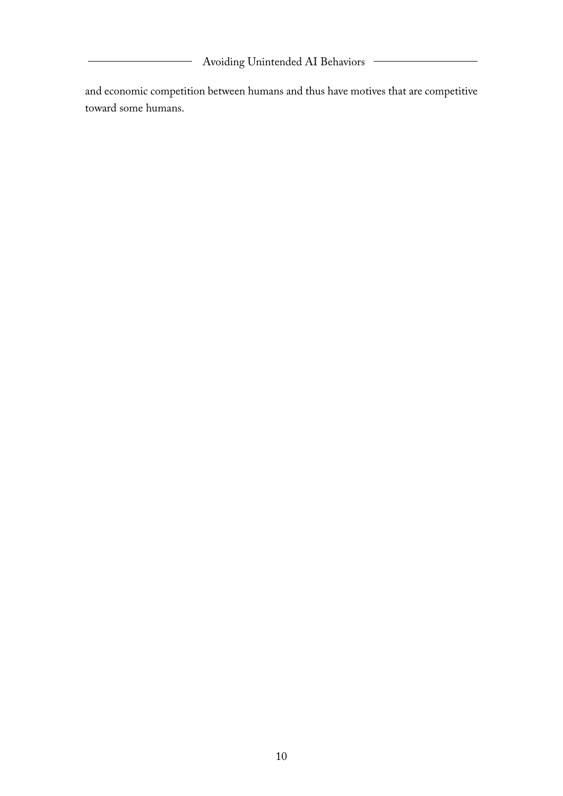Avoiding Unintended AI Behaviors

and economic competition between humans and thus have motives that are competitive toward some humans.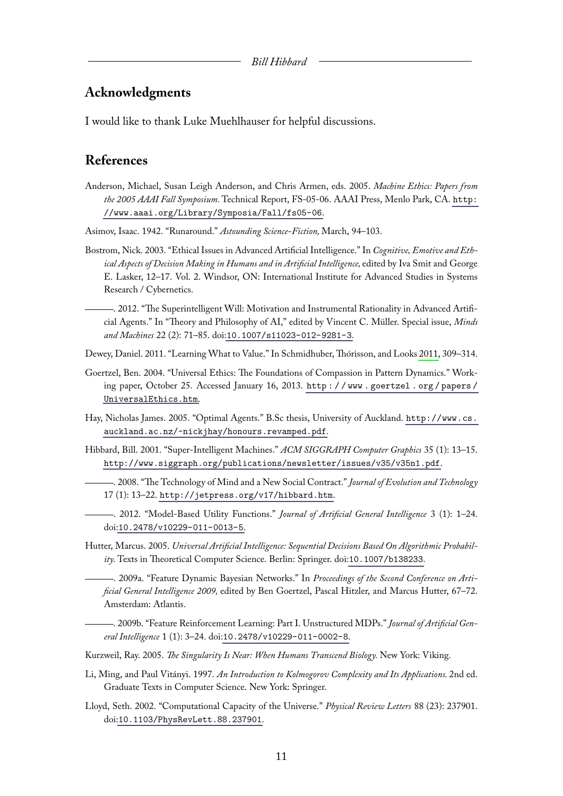# **Acknowledgments**

I would like to thank Luke Muehlhauser for helpful discussions.

# **References**

<span id="page-11-6"></span>Anderson, Michael, Susan Leigh Anderson, and Chris Armen, eds. 2005. *Machine Ethics: Papers from the 2005 AAAI Fall Symposium.* Technical Report, FS-05-06. AAAI Press, Menlo Park, CA. [http:](http://www.aaai.org/Library/Symposia/Fall/fs05-06) [//www.aaai.org/Library/Symposia/Fall/fs05-06](http://www.aaai.org/Library/Symposia/Fall/fs05-06).

<span id="page-11-1"></span>Asimov, Isaac. 1942. "Runaround." *Astounding Science-Fiction,* March, 94–103.

<span id="page-11-3"></span>Bostrom, Nick. 2003. "Ethical Issues in Advanced Artificial Intelligence." In *Cognitive, Emotive and Ethical Aspects of Decision Making in Humans and in Artificial Intelligence,* edited by Iva Smit and George E. Lasker, 12–17. Vol. 2. Windsor, ON: International Institute for Advanced Studies in Systems Research / Cybernetics.

<span id="page-11-9"></span>. 2012. "The Superintelligent Will: Motivation and Instrumental Rationality in Advanced Artificial Agents." In "Theory and Philosophy of AI," edited by Vincent C. Müller. Special issue, *Minds and Machines* 22 (2): 71–85. doi:[10.1007/s11023-012-9281-3](http://dx.doi.org/10.1007/s11023-012-9281-3).

<span id="page-11-8"></span>Dewey, Daniel. 2011. "Learning What to Value." In Schmidhuber, Thórisson, and Looks [2011,](#page-12-11) 309–314.

- <span id="page-11-4"></span>Goertzel, Ben. 2004. "Universal Ethics: The Foundations of Compassion in Pattern Dynamics." Working paper, October 25. Accessed January 16, 2013. [http : / / www . goertzel . org / papers /](http://www.goertzel.org/papers/UniversalEthics.htm) [UniversalEthics.htm](http://www.goertzel.org/papers/UniversalEthics.htm).
- <span id="page-11-15"></span>Hay, Nicholas James. 2005. "Optimal Agents." B.Sc thesis, University of Auckland. [http://www.cs.](http://www.cs.auckland.ac.nz/~nickjhay/honours.revamped.pdf) [auckland.ac.nz/~nickjhay/honours.revamped.pdf](http://www.cs.auckland.ac.nz/~nickjhay/honours.revamped.pdf).
- <span id="page-11-5"></span><span id="page-11-2"></span>Hibbard, Bill. 2001. "Super-Intelligent Machines." *ACM SIGGRAPH Computer Graphics* 35 (1): 13–15. <http://www.siggraph.org/publications/newsletter/issues/v35/v35n1.pdf>.
	- . 2008. "The Technology of Mind and a New Social Contract." *Journal of Evolution and Technology* 17 (1): 13–22. <http://jetpress.org/v17/hibbard.htm>.
	- . 2012. "Model-Based Utility Functions." *Journal of Artificial General Intelligence* 3 (1): 1–24. doi:[10.2478/v10229-011-0013-5](http://dx.doi.org/10.2478/v10229-011-0013-5).
- <span id="page-11-10"></span><span id="page-11-7"></span>Hutter, Marcus. 2005. *Universal Artificial Intelligence: Sequential Decisions Based On Algorithmic Probability.* Texts in Theoretical Computer Science. Berlin: Springer. doi:[10.1007/b138233](http://dx.doi.org/10.1007/b138233).

<span id="page-11-13"></span>. 2009a. "Feature Dynamic Bayesian Networks." In *Proceedings of the Second Conference on Artificial General Intelligence 2009,* edited by Ben Goertzel, Pascal Hitzler, and Marcus Hutter, 67–72. Amsterdam: Atlantis.

<span id="page-11-12"></span>. 2009b. "Feature Reinforcement Learning: Part I. Unstructured MDPs." *Journal of Artificial General Intelligence* 1 (1): 3–24. doi:[10.2478/v10229-011-0002-8](http://dx.doi.org/10.2478/v10229-011-0002-8).

<span id="page-11-0"></span>Kurzweil, Ray. 2005. *The Singularity Is Near: When Humans Transcend Biology.* New York: Viking.

- <span id="page-11-11"></span>Li, Ming, and Paul Vitányi. 1997. *An Introduction to Kolmogorov Complexity and Its Applications.* 2nd ed. Graduate Texts in Computer Science. New York: Springer.
- <span id="page-11-14"></span>Lloyd, Seth. 2002. "Computational Capacity of the Universe." *Physical Review Letters* 88 (23): 237901. doi:[10.1103/PhysRevLett.88.237901](http://dx.doi.org/10.1103/PhysRevLett.88.237901).